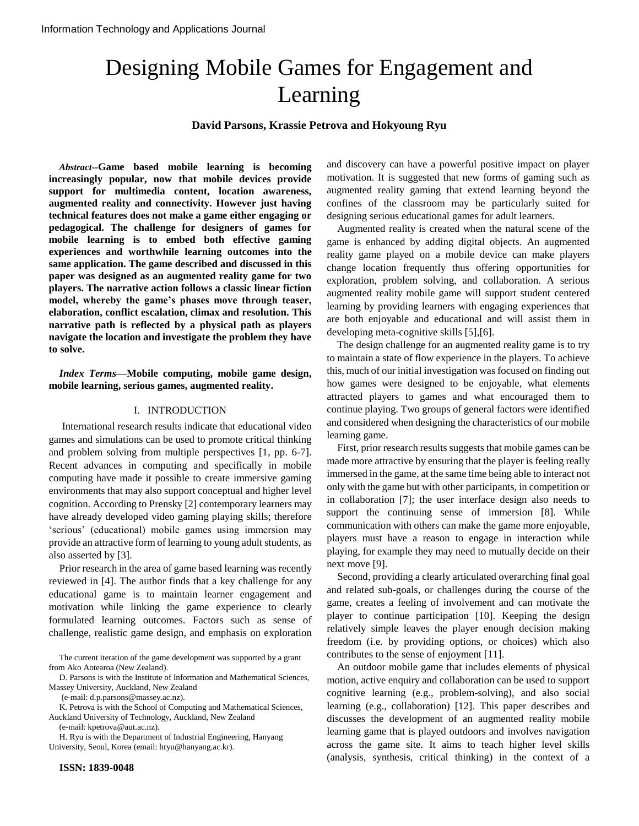# Designing Mobile Games for Engagement and Learning

**David Parsons, Krassie Petrova and Hokyoung Ryu**

*Abstract***--Game based mobile learning is becoming increasingly popular, now that mobile devices provide support for multimedia content, location awareness, augmented reality and connectivity. However just having technical features does not make a game either engaging or pedagogical. The challenge for designers of games for mobile learning is to embed both effective gaming experiences and worthwhile learning outcomes into the same application. The game described and discussed in this paper was designed as an augmented reality game for two players. The narrative action follows a classic linear fiction model, whereby the game's phases move through teaser, elaboration, conflict escalation, climax and resolution. This narrative path is reflected by a physical path as players navigate the location and investigate the problem they have to solve.**

*Index Terms***—Mobile computing, mobile game design, mobile learning, serious games, augmented reality.**

#### I. INTRODUCTION

International research results indicate that educational video games and simulations can be used to promote critical thinking and problem solving from multiple perspectives [1, pp. 6-7]. Recent advances in computing and specifically in mobile computing have made it possible to create immersive gaming environments that may also support conceptual and higher level cognition. According to Prensky [2] contemporary learners may have already developed video gaming playing skills; therefore "serious" (educational) mobile games using immersion may provide an attractive form of learning to young adult students, as also asserted by [3].

Prior research in the area of game based learning was recently reviewed in [4]. The author finds that a key challenge for any educational game is to maintain learner engagement and motivation while linking the game experience to clearly formulated learning outcomes. Factors such as sense of challenge, realistic game design, and emphasis on exploration

D. Parsons is with the Institute of Information and Mathematical Sciences, Massey University, Auckland, New Zealand

(e-mail: d.p.parsons@massey.ac.nz).

K. Petrova is with the School of Computing and Mathematical Sciences, Auckland University of Technology, Auckland, New Zealand

(e-mail: kpetrova@aut.ac.nz).

H. Ryu is with the Department of Industrial Engineering, Hanyang University, Seoul, Korea (email: hryu@hanyang.ac.kr).

and discovery can have a powerful positive impact on player motivation. It is suggested that new forms of gaming such as augmented reality gaming that extend learning beyond the confines of the classroom may be particularly suited for designing serious educational games for adult learners.

Augmented reality is created when the natural scene of the game is enhanced by adding digital objects. An augmented reality game played on a mobile device can make players change location frequently thus offering opportunities for exploration, problem solving, and collaboration. A serious augmented reality mobile game will support student centered learning by providing learners with engaging experiences that are both enjoyable and educational and will assist them in developing meta-cognitive skills [5],[6].

The design challenge for an augmented reality game is to try to maintain a state of flow experience in the players. To achieve this, much of our initial investigation was focused on finding out how games were designed to be enjoyable, what elements attracted players to games and what encouraged them to continue playing. Two groups of general factors were identified and considered when designing the characteristics of our mobile learning game.

First, prior research results suggests that mobile games can be made more attractive by ensuring that the player is feeling really immersed in the game, at the same time being able to interact not only with the game but with other participants, in competition or in collaboration [7]; the user interface design also needs to support the continuing sense of immersion [8]. While communication with others can make the game more enjoyable, players must have a reason to engage in interaction while playing, for example they may need to mutually decide on their next move [9].

Second, providing a clearly articulated overarching final goal and related sub-goals, or challenges during the course of the game, creates a feeling of involvement and can motivate the player to continue participation [10]. Keeping the design relatively simple leaves the player enough decision making freedom (i.e. by providing options, or choices) which also contributes to the sense of enjoyment [11].

An outdoor mobile game that includes elements of physical motion, active enquiry and collaboration can be used to support cognitive learning (e.g., problem-solving), and also social learning (e.g., collaboration) [12]. This paper describes and discusses the development of an augmented reality mobile learning game that is played outdoors and involves navigation across the game site. It aims to teach higher level skills (analysis, synthesis, critical thinking) in the context of a

The current iteration of the game development was supported by a grant from Ako Aotearoa (New Zealand).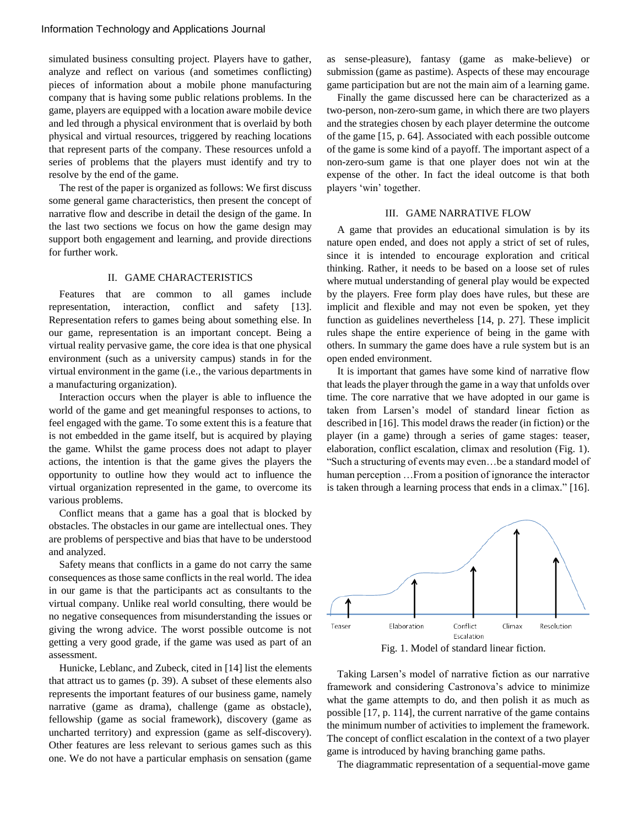simulated business consulting project. Players have to gather, analyze and reflect on various (and sometimes conflicting) pieces of information about a mobile phone manufacturing company that is having some public relations problems. In the game, players are equipped with a location aware mobile device and led through a physical environment that is overlaid by both physical and virtual resources, triggered by reaching locations that represent parts of the company. These resources unfold a series of problems that the players must identify and try to resolve by the end of the game.

The rest of the paper is organized as follows: We first discuss some general game characteristics, then present the concept of narrative flow and describe in detail the design of the game. In the last two sections we focus on how the game design may support both engagement and learning, and provide directions for further work.

#### II. GAME CHARACTERISTICS

Features that are common to all games include representation, interaction, conflict and safety [13]. Representation refers to games being about something else. In our game, representation is an important concept. Being a virtual reality pervasive game, the core idea is that one physical environment (such as a university campus) stands in for the virtual environment in the game (i.e., the various departments in a manufacturing organization).

Interaction occurs when the player is able to influence the world of the game and get meaningful responses to actions, to feel engaged with the game. To some extent this is a feature that is not embedded in the game itself, but is acquired by playing the game. Whilst the game process does not adapt to player actions, the intention is that the game gives the players the opportunity to outline how they would act to influence the virtual organization represented in the game, to overcome its various problems.

Conflict means that a game has a goal that is blocked by obstacles. The obstacles in our game are intellectual ones. They are problems of perspective and bias that have to be understood and analyzed.

Safety means that conflicts in a game do not carry the same consequences as those same conflicts in the real world. The idea in our game is that the participants act as consultants to the virtual company. Unlike real world consulting, there would be no negative consequences from misunderstanding the issues or giving the wrong advice. The worst possible outcome is not getting a very good grade, if the game was used as part of an assessment.

Hunicke, Leblanc, and Zubeck, cited in [14] list the elements that attract us to games (p. 39). A subset of these elements also represents the important features of our business game, namely narrative (game as drama), challenge (game as obstacle), fellowship (game as social framework), discovery (game as uncharted territory) and expression (game as self-discovery). Other features are less relevant to serious games such as this one. We do not have a particular emphasis on sensation (game

as sense-pleasure), fantasy (game as make-believe) or submission (game as pastime). Aspects of these may encourage game participation but are not the main aim of a learning game.

Finally the game discussed here can be characterized as a two-person, non-zero-sum game, in which there are two players and the strategies chosen by each player determine the outcome of the game [15, p. 64]. Associated with each possible outcome of the game is some kind of a payoff. The important aspect of a non-zero-sum game is that one player does not win at the expense of the other. In fact the ideal outcome is that both players 'win' together.

## III. GAME NARRATIVE FLOW

A game that provides an educational simulation is by its nature open ended, and does not apply a strict of set of rules, since it is intended to encourage exploration and critical thinking. Rather, it needs to be based on a loose set of rules where mutual understanding of general play would be expected by the players. Free form play does have rules, but these are implicit and flexible and may not even be spoken, yet they function as guidelines nevertheless [14, p. 27]. These implicit rules shape the entire experience of being in the game with others. In summary the game does have a rule system but is an open ended environment.

It is important that games have some kind of narrative flow that leads the player through the game in a way that unfolds over time. The core narrative that we have adopted in our game is taken from Larsen"s model of standard linear fiction as described in [16]. This model draws the reader (in fiction) or the player (in a game) through a series of game stages: teaser, elaboration, conflict escalation, climax and resolution (Fig. 1). "Such a structuring of events may even…be a standard model of human perception ... From a position of ignorance the interactor is taken through a learning process that ends in a climax." [16].



Fig. 1. Model of standard linear fiction.

Taking Larsen"s model of narrative fiction as our narrative framework and considering Castronova"s advice to minimize what the game attempts to do, and then polish it as much as possible [17, p. 114], the current narrative of the game contains the minimum number of activities to implement the framework. The concept of conflict escalation in the context of a two player game is introduced by having branching game paths.

The diagrammatic representation of a sequential-move game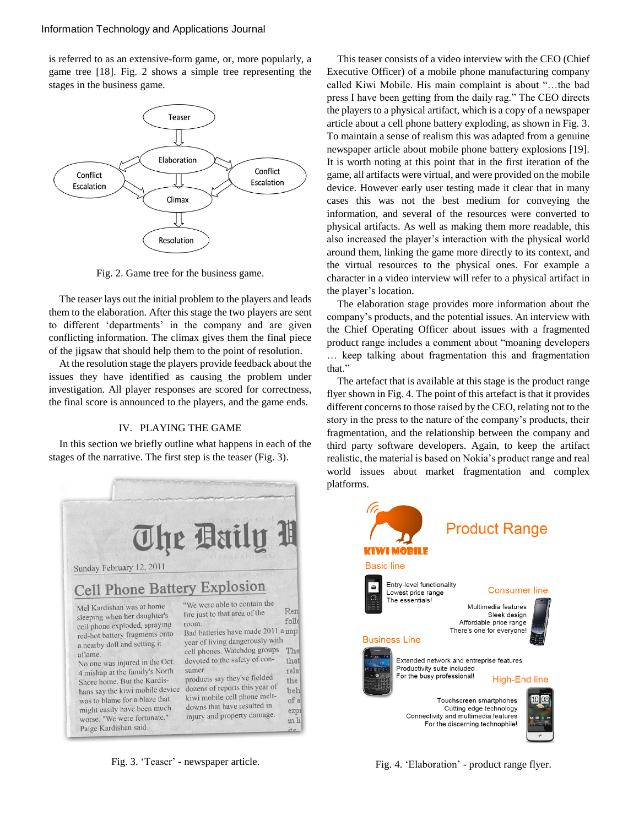is referred to as an extensive-form game, or, more popularly, a game tree [18]. Fig. 2 shows a simple tree representing the stages in the business game.



Fig. 2. Game tree for the business game.

The teaser lays out the initial problem to the players and leads them to the elaboration. After this stage the two players are sent to different 'departments' in the company and are given conflicting information. The climax gives them the final piece of the jigsaw that should help them to the point of resolution.

At the resolution stage the players provide feedback about the issues they have identified as causing the problem under investigation. All player responses are scored for correctness, the final score is announced to the players, and the game ends.

## IV. PLAYING THE GAME

In this section we briefly outline what happens in each of the stages of the narrative. The first step is the teaser (Fig. 3).



Fig. 3. 'Teaser' - newspaper article.

This teaser consists of a video interview with the CEO (Chief Executive Officer) of a mobile phone manufacturing company called Kiwi Mobile. His main complaint is about "…the bad press I have been getting from the daily rag." The CEO directs the players to a physical artifact, which is a copy of a newspaper article about a cell phone battery exploding, as shown in Fig. 3. To maintain a sense of realism this was adapted from a genuine newspaper article about mobile phone battery explosions [19]. It is worth noting at this point that in the first iteration of the game, all artifacts were virtual, and were provided on the mobile device. However early user testing made it clear that in many cases this was not the best medium for conveying the information, and several of the resources were converted to physical artifacts. As well as making them more readable, this also increased the player"s interaction with the physical world around them, linking the game more directly to its context, and the virtual resources to the physical ones. For example a character in a video interview will refer to a physical artifact in the player's location.

The elaboration stage provides more information about the company"s products, and the potential issues. An interview with the Chief Operating Officer about issues with a fragmented product range includes a comment about "moaning developers … keep talking about fragmentation this and fragmentation that."

The artefact that is available at this stage is the product range flyer shown in Fig. 4. The point of this artefact is that it provides different concerns to those raised by the CEO, relating not to the story in the press to the nature of the company"s products, their fragmentation, and the relationship between the company and third party software developers. Again, to keep the artifact realistic, the material is based on Nokia"s product range and real world issues about market fragmentation and complex platforms.



Fig. 4. 'Elaboration' - product range flyer.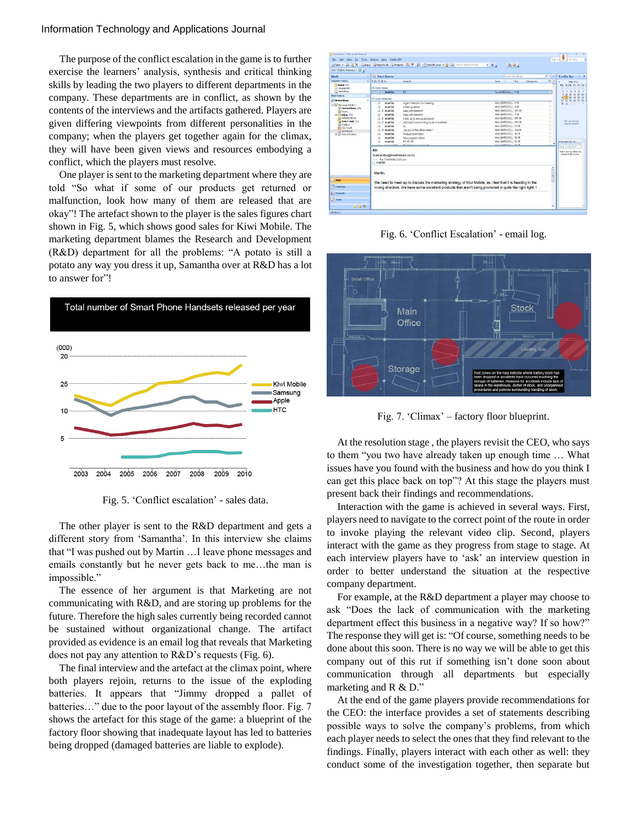The purpose of the conflict escalation in the game is to further exercise the learners' analysis, synthesis and critical thinking skills by leading the two players to different departments in the company. These departments are in conflict, as shown by the contents of the interviews and the artifacts gathered. Players are given differing viewpoints from different personalities in the company; when the players get together again for the climax, they will have been given views and resources embodying a conflict, which the players must resolve.

One player is sent to the marketing department where they are told "So what if some of our products get returned or malfunction, look how many of them are released that are okay"! The artefact shown to the player is the sales figures chart shown in Fig. 5, which shows good sales for Kiwi Mobile. The marketing department blames the Research and Development (R&D) department for all the problems: "A potato is still a potato any way you dress it up, Samantha over at R&D has a lot to answer for"!



Fig. 5. 'Conflict escalation' - sales data.

The other player is sent to the R&D department and gets a different story from "Samantha". In this interview she claims that "I was pushed out by Martin …I leave phone messages and emails constantly but he never gets back to me…the man is impossible."

The essence of her argument is that Marketing are not communicating with R&D, and are storing up problems for the future. Therefore the high sales currently being recorded cannot be sustained without organizational change. The artifact provided as evidence is an email log that reveals that Marketing does not pay any attention to R&D"s requests (Fig. 6).

The final interview and the artefact at the climax point, where both players rejoin, returns to the issue of the exploding batteries. It appears that "Jimmy dropped a pallet of batteries…" due to the poor layout of the assembly floor. Fig. 7 shows the artefact for this stage of the game: a blueprint of the factory floor showing that inadequate layout has led to batteries being dropped (damaged batteries are liable to explode).

| Mail                                                                                                                                                                                                                                                           | Sent Items                                                                      |                                                       | Selecti Sant Barro            | $\rho$ +                                             | To-Do Bar<br>$102$ $\times$                 |  |  |
|----------------------------------------------------------------------------------------------------------------------------------------------------------------------------------------------------------------------------------------------------------------|---------------------------------------------------------------------------------|-------------------------------------------------------|-------------------------------|------------------------------------------------------|---------------------------------------------|--|--|
| <b>Taxoutle Folders</b>                                                                                                                                                                                                                                        | 10 0 8 to<br>Subject<br>Size<br>Categories<br>Sent<br><b>CALL COMPANY</b>       |                                                       | $P -$                         | May 2811<br>Mo Tu We Th fr Sa S<br>25.26.27.29.28.39 |                                             |  |  |
| <b>Theor</b> 271<br>El Chymad Mail                                                                                                                                                                                                                             | <b>Date: Today</b>                                                              |                                                       |                               |                                                      |                                             |  |  |
| Sent Bens                                                                                                                                                                                                                                                      | martin<br><b>IST</b>                                                            | <b>BE</b>                                             | Tue 11/05/2011  7 KB          |                                                      | 45<br>$\epsilon$<br>5 18 11 12 13 14 1      |  |  |
| <b>Mail Folders</b><br>×                                                                                                                                                                                                                                       | <b>B</b> Dale: Yesterday                                                        |                                                       |                               |                                                      | 16 17 10 19 21 21 2                         |  |  |
| DAN Mail Bens<br><b>BILL</b> Personal Folders<br><sup>(2)</sup> Defeted Rems (25)<br><b>Drafts</b><br>$\equiv$ $\frac{1}{2}$ lebox $(11)$<br>Infected thems<br>a Junk E-mail [14]<br><b>Ja Outbox</b><br><b>RSS Feeds</b><br>Co Sant Barns                     | Mon 16/05/2411 9 KB<br>martin<br>Urgent Attention for meeting<br>a              |                                                       |                               |                                                      | 23 24 25 26 27 28 2                         |  |  |
|                                                                                                                                                                                                                                                                | ß<br>martin                                                                     | Meeting detail                                        | Mon 16/65/2011 4KB            |                                                      | <b>HH</b> H                                 |  |  |
|                                                                                                                                                                                                                                                                | ia a                                                                            | martin<br>Mon 16/65/2811 175 KB<br>Help with research |                               |                                                      |                                             |  |  |
|                                                                                                                                                                                                                                                                | a<br>martin                                                                     | - Help with research                                  | Mon 16/85/2111 7 KB           |                                                      |                                             |  |  |
|                                                                                                                                                                                                                                                                | martin<br>G a                                                                   | Meet up to discuss products                           | Mon 16/85/2811 175 KB         |                                                      |                                             |  |  |
|                                                                                                                                                                                                                                                                | martin<br>G a                                                                   | - discussor surounding foult in batteries             | Mon 16/65/2811 176 KB         |                                                      | No vernming.<br>appointments.               |  |  |
|                                                                                                                                                                                                                                                                | martin<br>а                                                                     | $\sim$                                                | Mon 16/65/2811 20 KB          |                                                      |                                             |  |  |
|                                                                                                                                                                                                                                                                | $\Theta$ a<br>martin                                                            | Are you in the office today?                          | Mon 16/85/2811 224 KB         |                                                      |                                             |  |  |
| at El Search Folders                                                                                                                                                                                                                                           | martin<br>ω                                                                     | Product promotion                                     | Mon 16/65/2411. 18 KB         |                                                      |                                             |  |  |
|                                                                                                                                                                                                                                                                | martin<br>a                                                                     | News papers article                                   | Mon 16/65/2811 11 KB          |                                                      |                                             |  |  |
|                                                                                                                                                                                                                                                                | a<br>martin                                                                     | RE: RE: RE:                                           | Mon 16/65/2811 2.KB           |                                                      | Amenged By: Du.,                            |  |  |
|                                                                                                                                                                                                                                                                | <b>Crainistering</b>                                                            | <b>Alustranonument</b>                                | <b>MAA 4646 (1844 - 1949)</b> |                                                      | Type a new task                             |  |  |
|                                                                                                                                                                                                                                                                | RE:<br>Samantha@KlwiMobile.co.nz<br>Text: Tue 17/05/2011 12:15 p.m.<br>- martin |                                                       |                               |                                                      | There are no henri to<br>chow in this view. |  |  |
| Martin.<br>Mail<br>We need to meet up to discuss the marketing strategy of Kiwi Mobile, as I feel that it is heading in the<br><b>Till</b> Calendar<br>wrong direction. We have some excellent products that aren't being promoted in quite the right light. I |                                                                                 |                                                       |                               |                                                      |                                             |  |  |

Fig. 6. 'Conflict Escalation' - email log.



Fig. 7. 'Climax' – factory floor blueprint.

At the resolution stage , the players revisit the CEO, who says to them "you two have already taken up enough time … What issues have you found with the business and how do you think I can get this place back on top"? At this stage the players must present back their findings and recommendations.

Interaction with the game is achieved in several ways. First, players need to navigate to the correct point of the route in order to invoke playing the relevant video clip. Second, players interact with the game as they progress from stage to stage. At each interview players have to "ask" an interview question in order to better understand the situation at the respective company department.

For example, at the R&D department a player may choose to ask "Does the lack of communication with the marketing department effect this business in a negative way? If so how?" The response they will get is: "Of course, something needs to be done about this soon. There is no way we will be able to get this company out of this rut if something isn"t done soon about communication through all departments but especially marketing and R & D."

At the end of the game players provide recommendations for the CEO: the interface provides a set of statements describing possible ways to solve the company"s problems, from which each player needs to select the ones that they find relevant to the findings. Finally, players interact with each other as well: they conduct some of the investigation together, then separate but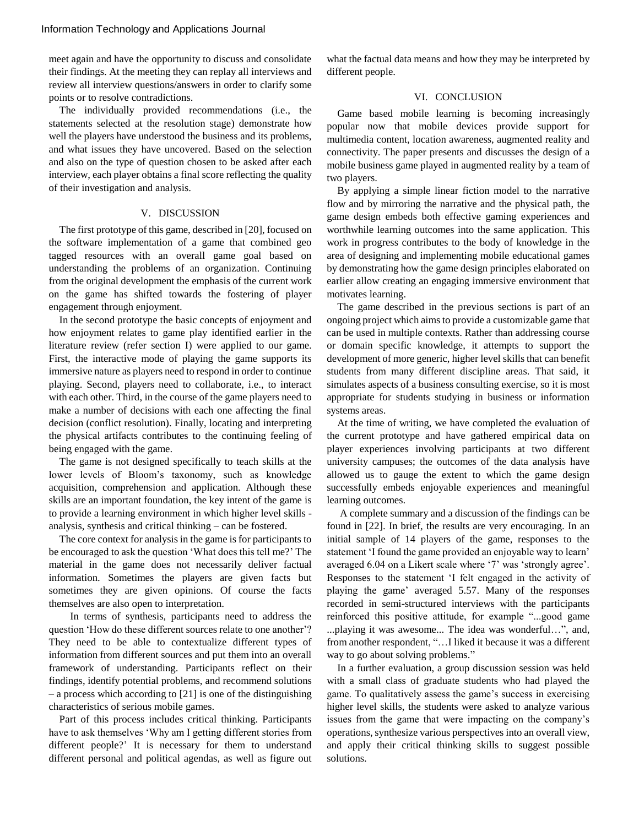meet again and have the opportunity to discuss and consolidate their findings. At the meeting they can replay all interviews and review all interview questions/answers in order to clarify some points or to resolve contradictions.

The individually provided recommendations (i.e., the statements selected at the resolution stage) demonstrate how well the players have understood the business and its problems, and what issues they have uncovered. Based on the selection and also on the type of question chosen to be asked after each interview, each player obtains a final score reflecting the quality of their investigation and analysis.

# V. DISCUSSION

The first prototype of this game, described in [20], focused on the software implementation of a game that combined geo tagged resources with an overall game goal based on understanding the problems of an organization. Continuing from the original development the emphasis of the current work on the game has shifted towards the fostering of player engagement through enjoyment.

In the second prototype the basic concepts of enjoyment and how enjoyment relates to game play identified earlier in the literature review (refer section I) were applied to our game. First, the interactive mode of playing the game supports its immersive nature as players need to respond in order to continue playing. Second, players need to collaborate, i.e., to interact with each other. Third, in the course of the game players need to make a number of decisions with each one affecting the final decision (conflict resolution). Finally, locating and interpreting the physical artifacts contributes to the continuing feeling of being engaged with the game.

The game is not designed specifically to teach skills at the lower levels of Bloom"s taxonomy, such as knowledge acquisition, comprehension and application. Although these skills are an important foundation, the key intent of the game is to provide a learning environment in which higher level skills analysis, synthesis and critical thinking – can be fostered.

The core context for analysis in the game is for participants to be encouraged to ask the question "What does this tell me?" The material in the game does not necessarily deliver factual information. Sometimes the players are given facts but sometimes they are given opinions. Of course the facts themselves are also open to interpretation.

In terms of synthesis, participants need to address the question 'How do these different sources relate to one another'? They need to be able to contextualize different types of information from different sources and put them into an overall framework of understanding. Participants reflect on their findings, identify potential problems, and recommend solutions – a process which according to [21] is one of the distinguishing characteristics of serious mobile games.

Part of this process includes critical thinking. Participants have to ask themselves "Why am I getting different stories from different people?" It is necessary for them to understand different personal and political agendas, as well as figure out what the factual data means and how they may be interpreted by different people.

# VI. CONCLUSION

Game based mobile learning is becoming increasingly popular now that mobile devices provide support for multimedia content, location awareness, augmented reality and connectivity. The paper presents and discusses the design of a mobile business game played in augmented reality by a team of two players.

By applying a simple linear fiction model to the narrative flow and by mirroring the narrative and the physical path, the game design embeds both effective gaming experiences and worthwhile learning outcomes into the same application. This work in progress contributes to the body of knowledge in the area of designing and implementing mobile educational games by demonstrating how the game design principles elaborated on earlier allow creating an engaging immersive environment that motivates learning.

The game described in the previous sections is part of an ongoing project which aims to provide a customizable game that can be used in multiple contexts. Rather than addressing course or domain specific knowledge, it attempts to support the development of more generic, higher level skills that can benefit students from many different discipline areas. That said, it simulates aspects of a business consulting exercise, so it is most appropriate for students studying in business or information systems areas.

At the time of writing, we have completed the evaluation of the current prototype and have gathered empirical data on player experiences involving participants at two different university campuses; the outcomes of the data analysis have allowed us to gauge the extent to which the game design successfully embeds enjoyable experiences and meaningful learning outcomes.

A complete summary and a discussion of the findings can be found in [22]. In brief, the results are very encouraging. In an initial sample of 14 players of the game, responses to the statement 'I found the game provided an enjoyable way to learn' averaged 6.04 on a Likert scale where "7" was "strongly agree". Responses to the statement "I felt engaged in the activity of playing the game" averaged 5.57. Many of the responses recorded in semi-structured interviews with the participants reinforced this positive attitude, for example "...good game ...playing it was awesome... The idea was wonderful…", and, from another respondent, "... I liked it because it was a different way to go about solving problems."

In a further evaluation, a group discussion session was held with a small class of graduate students who had played the game. To qualitatively assess the game's success in exercising higher level skills, the students were asked to analyze various issues from the game that were impacting on the company"s operations, synthesize various perspectives into an overall view, and apply their critical thinking skills to suggest possible solutions.